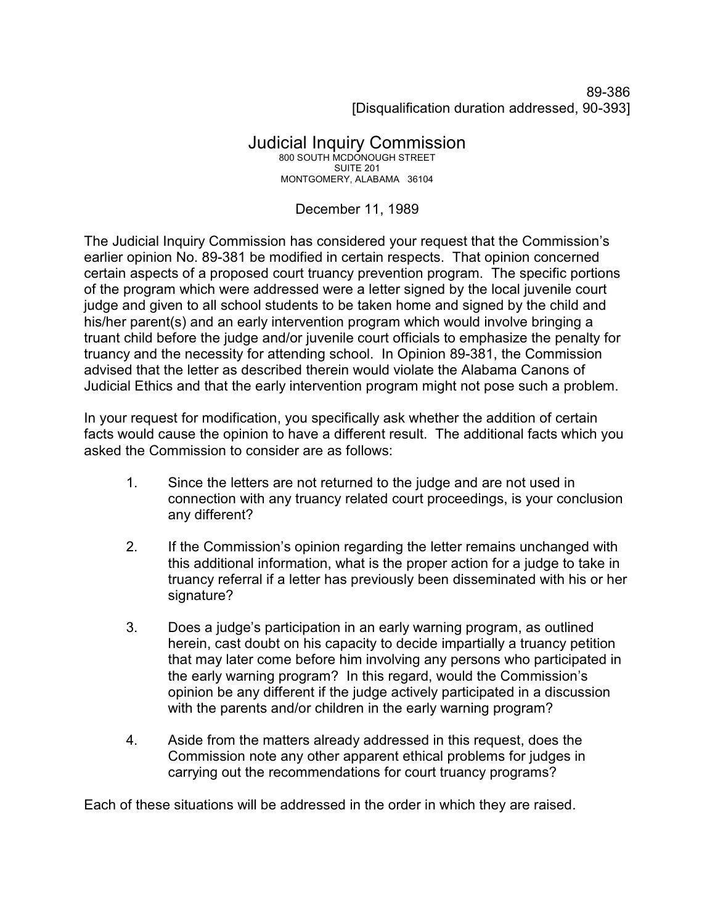89-386 [Disqualification duration addressed, 90-393]

## Judicial Inquiry Commission 800 SOUTH MCDONOUGH STREET SUITE 201 MONTGOMERY, ALABAMA 36104

## December 11, 1989

The Judicial Inquiry Commission has considered your request that the Commission's earlier opinion No. 89-381 be modified in certain respects. That opinion concerned certain aspects of a proposed court truancy prevention program. The specific portions of the program which were addressed were a letter signed by the local juvenile court judge and given to all school students to be taken home and signed by the child and his/her parent(s) and an early intervention program which would involve bringing a truant child before the judge and/or juvenile court officials to emphasize the penalty for truancy and the necessity for attending school. In Opinion 89-381, the Commission advised that the letter as described therein would violate the Alabama Canons of Judicial Ethics and that the early intervention program might not pose such a problem.

In your request for modification, you specifically ask whether the addition of certain facts would cause the opinion to have a different result. The additional facts which you asked the Commission to consider are as follows:

- 1. Since the letters are not returned to the judge and are not used in connection with any truancy related court proceedings, is your conclusion any different?
- 2. If the Commission's opinion regarding the letter remains unchanged with this additional information, what is the proper action for a judge to take in truancy referral if a letter has previously been disseminated with his or her signature?
- 3. Does a judge's participation in an early warning program, as outlined herein, cast doubt on his capacity to decide impartially a truancy petition that may later come before him involving any persons who participated in the early warning program? In this regard, would the Commission's opinion be any different if the judge actively participated in a discussion with the parents and/or children in the early warning program?
- 4. Aside from the matters already addressed in this request, does the Commission note any other apparent ethical problems for judges in carrying out the recommendations for court truancy programs?

Each of these situations will be addressed in the order in which they are raised.